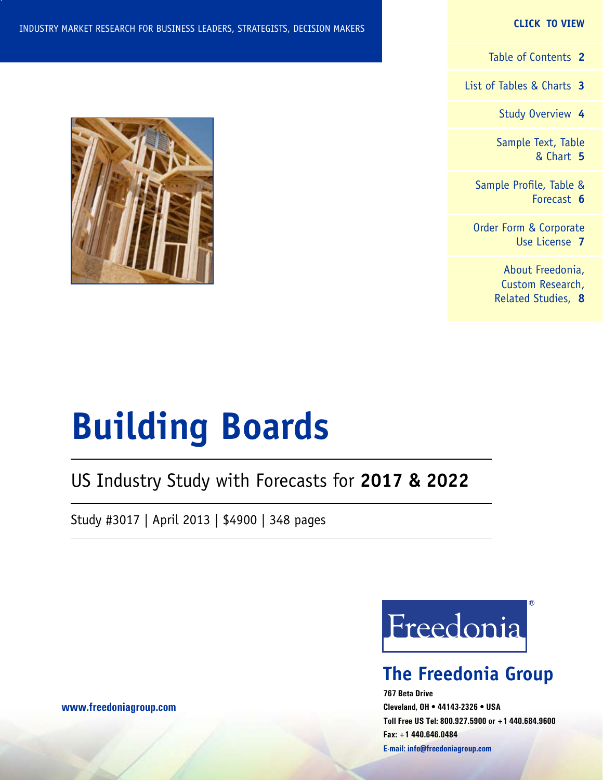#### **CLICK TO VIEW**

[Table of Contents](#page-1-0) **2**

[List of Tables & Charts](#page-2-0) **3**

[Study Overview](#page-3-0) **4**

[Sample Text, Table](#page-4-0) [& Chart](#page-4-0) **5**

[Sample Profile, Table &](#page-5-0) [Forecast](#page-5-0) **6**

[Order Form & Corporate](#page-6-0) [Use License](#page-6-0) **7**

> [About Freedonia,](#page-7-0) [Custom Research,](#page-7-0) [Related Studies,](#page-7-0) **8**



# **Building Boards**

## US Industry Study with Forecasts for **2017 & 2022**

Study #3017 | April 2013 | \$4900 | 348 pages



## **The Freedonia Group**

**767 Beta Drive Cleveland, OH • 44143-2326 • USA Toll Free US Tel: 800.927.5900 or +1 440.684.9600 Fax: +1 440.646.0484 E-mail: [info@freedoniagroup.com](mailto:info@freedoniagroup.com)**

**[www.freedoniagroup.com](http://www.freedoniagroup.com/Home.aspx?ReferrerId=FM-Bro)**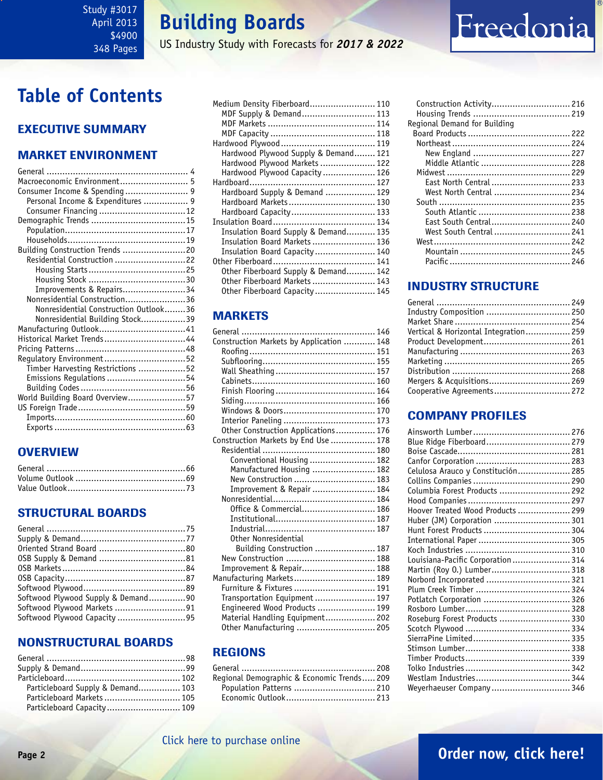<span id="page-1-0"></span>Study #3017 April 2013 \$4900 348 Pages

## **Building Boards**

US Industry Study with Forecasts for *2017 & 2022*

## **Table of Contents**

## Executive Summary

### Market EnvironmenT

| Macroeconomic Environment 5           |  |
|---------------------------------------|--|
| Consumer Income & Spending 9          |  |
| Personal Income & Expenditures  9     |  |
|                                       |  |
|                                       |  |
|                                       |  |
|                                       |  |
| Building Construction Trends 20       |  |
| Residential Construction 22           |  |
|                                       |  |
|                                       |  |
| Improvements & Repairs34              |  |
| Nonresidential Construction36         |  |
| Nonresidential Construction Outlook36 |  |
| Nonresidential Building Stock39       |  |
|                                       |  |
| Historical Market Trends44            |  |
|                                       |  |
| Regulatory Environment52              |  |
| Timber Harvesting Restrictions 52     |  |
| Emissions Regulations 54              |  |
|                                       |  |
| World Building Board Overview57       |  |
|                                       |  |
|                                       |  |
|                                       |  |

## **OVERVIEW**

### STRUCTURAL BOARDS

| Softwood Plywood Supply & Demand90 |  |
|------------------------------------|--|
|                                    |  |
| Softwood Plywood Capacity 95       |  |

### NONSTRUCTURAL BOARDS

| Particleboard Supply & Demand 103 |  |
|-----------------------------------|--|
| Particleboard Markets  105        |  |
| Particleboard Capacity 109        |  |

| Medium Density Fiberboard 110        |  |
|--------------------------------------|--|
| MDF Supply & Demand 113              |  |
|                                      |  |
|                                      |  |
|                                      |  |
| Hardwood Plywood Supply & Demand 121 |  |
| Hardwood Plywood Markets  122        |  |
| Hardwood Plywood Capacity  126       |  |
|                                      |  |
| Hardboard Supply & Demand  129       |  |
| Hardboard Markets  130               |  |
| Hardboard Capacity 133               |  |
|                                      |  |
| Insulation Board Supply & Demand 135 |  |
| Insulation Board Markets  136        |  |
| Insulation Board Capacity 140        |  |
|                                      |  |
| Other Fiberboard Supply & Demand 142 |  |
| Other Fiberboard Markets  143        |  |
| Other Fiberboard Capacity  145       |  |
|                                      |  |

### **MARKETS**

| Construction Markets by Application  148 |  |
|------------------------------------------|--|
|                                          |  |
|                                          |  |
|                                          |  |
|                                          |  |
|                                          |  |
|                                          |  |
|                                          |  |
|                                          |  |
| Other Construction Applications 176      |  |
| Construction Markets by End Use  178     |  |
|                                          |  |
| Conventional Housing  182                |  |
| Manufactured Housing  182                |  |
| New Construction  183                    |  |
| Improvement & Repair  184                |  |
|                                          |  |
| Office & Commercial 186                  |  |
|                                          |  |
|                                          |  |
| Other Nonresidential                     |  |
| Building Construction  187               |  |
| New Construction  188                    |  |
| Improvement & Repair 188                 |  |
| Manufacturing Markets 189                |  |
| Furniture & Fixtures  191                |  |
| Transportation Equipment  197            |  |
| Engineered Wood Products  199            |  |
| Material Handling Equipment 202          |  |
| Other Manufacturing  205                 |  |
|                                          |  |

### REGIONS

| Regional Demographic & Economic Trends 209 |  |
|--------------------------------------------|--|
| Population Patterns  210                   |  |
|                                            |  |
|                                            |  |

| Regional Demand for Building |  |
|------------------------------|--|
|                              |  |
|                              |  |
|                              |  |
| Middle Atlantic  228         |  |
|                              |  |
| East North Central  233      |  |
| West North Central  234      |  |
|                              |  |
| South Atlantic  238          |  |
| East South Central 240       |  |
| West South Central  241      |  |
|                              |  |
|                              |  |
|                              |  |
|                              |  |

Freedonia

## INDUSTRY STRUCTURE

| Vertical & Horizontal Integration 259 |  |
|---------------------------------------|--|
| Product Development 261               |  |
|                                       |  |
|                                       |  |
|                                       |  |
| Mergers & Acquisitions 269            |  |
| Cooperative Agreements 272            |  |
|                                       |  |

## Company Profiles

| Blue Ridge Fiberboard 279          |  |
|------------------------------------|--|
|                                    |  |
|                                    |  |
| Celulosa Arauco y Constitución 285 |  |
|                                    |  |
| Columbia Forest Products  292      |  |
|                                    |  |
| Hoover Treated Wood Products  299  |  |
| Huber (JM) Corporation  301        |  |
| Hunt Forest Products  304          |  |
|                                    |  |
|                                    |  |
| Louisiana-Pacific Corporation  314 |  |
| Martin (Roy O.) Lumber 318         |  |
| Norbord Incorporated  321          |  |
|                                    |  |
| Potlatch Corporation  326          |  |
|                                    |  |
| Roseburg Forest Products  330      |  |
|                                    |  |
|                                    |  |
|                                    |  |
|                                    |  |
|                                    |  |
|                                    |  |
| Weyerhaeuser Company 346           |  |

## **Page 2 [Order now, click here!](#page-6-0)**

## [Click here to purchase online](http://www.freedoniagroup.com/DocumentDetails.aspx?Referrerid=FM-Bro&StudyID=3017)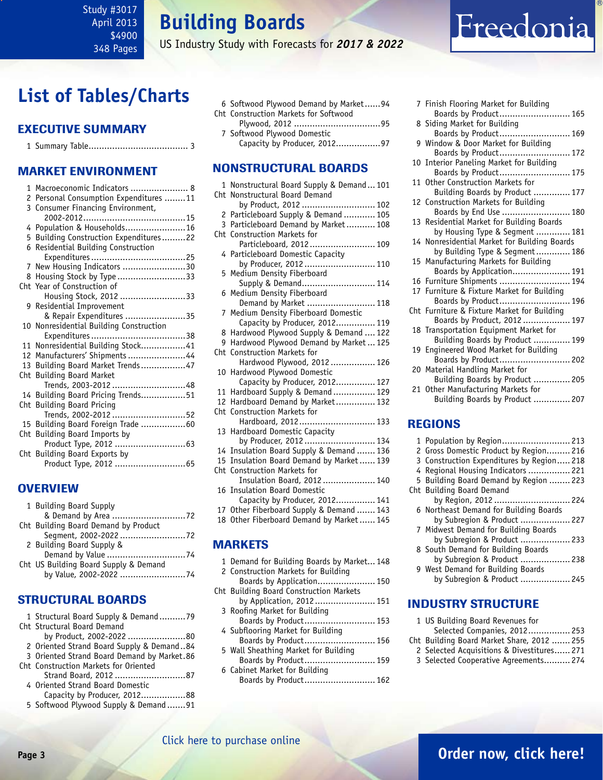<span id="page-2-0"></span>Study #3017 April 2013 \$4900 348 Pages

**Building Boards**

US Industry Study with Forecasts for *2017 & 2022*

## **List of Tables/Charts**

### Executive Summary

### Market EnvironmenT

| 1 | Macroeconomic Indicators  8             |
|---|-----------------------------------------|
|   | 2 Personal Consumption Expenditures 11  |
|   | 3 Consumer Financing Environment,       |
|   |                                         |
|   | 4 Population & Households16             |
|   | 5 Building Construction Expenditures22  |
|   | 6 Residential Building Construction     |
|   |                                         |
|   | 7 New Housing Indicators 30             |
|   | 8 Housing Stock by Type33               |
|   | Cht Year of Construction of             |
|   | Housing Stock, 2012 33                  |
|   | 9 Residential Improvement               |
|   | & Repair Expenditures 35                |
|   | 10 Nonresidential Building Construction |
|   |                                         |
|   | 11 Nonresidential Building Stock41      |
|   | 12 Manufacturers' Shipments 44          |
|   | 13 Building Board Market Trends47       |
|   | Cht Building Board Market               |
|   | Trends, 2003-2012 48                    |
|   | 14 Building Board Pricing Trends51      |
|   | Cht Building Board Pricing              |
|   | Trends, 2002-2012 52                    |
|   | 15 Building Board Foreign Trade 60      |
|   | Cht Building Board Imports by           |
|   |                                         |
|   | Cht Building Board Exports by           |
|   |                                         |

### **OVERVIEW**

| 1 Building Board Supply               |  |
|---------------------------------------|--|
|                                       |  |
| Cht Building Board Demand by Product  |  |
|                                       |  |
| 2 Building Board Supply &             |  |
|                                       |  |
| Cht US Building Board Supply & Demand |  |
| by Value, 2002-2022 74                |  |

### STRUCTURAL BOARDS

| 1 Structural Board Supply & Demand79        |
|---------------------------------------------|
| Cht Structural Board Demand                 |
| by Product, 2002-2022 80                    |
| 2 Oriented Strand Board Supply & Demand84   |
| 3 Oriented Strand Board Demand by Market.86 |
| Cht Construction Markets for Oriented       |
| Strand Board, 2012 87                       |
| 4 Oriented Strand Board Domestic            |
| Capacity by Producer, 201288                |
| 5 Softwood Plywood Supply & Demand91        |

|  | 6 Softwood Plywood Demand by Market94 |  |
|--|---------------------------------------|--|
|  | Cht Construction Markets for Softwood |  |
|  |                                       |  |
|  |                                       |  |

7 Softwood Plywood Domestic Capacity by Producer, 2012.................97

### NONSTRUCTURAL BOARDS

|                 | 1 Nonstructural Board Supply & Demand 101<br>Cht Nonstructural Board Demand |
|-----------------|-----------------------------------------------------------------------------|
|                 | by Product, 2012  102                                                       |
| 2               | Particleboard Supply & Demand  105                                          |
|                 | 3 Particleboard Demand by Market 108                                        |
|                 | Cht Construction Markets for                                                |
|                 | Particleboard, 2012 109                                                     |
| 4               | Particleboard Domestic Capacity                                             |
|                 | by Producer, 2012 110                                                       |
| 5               | Medium Density Fiberboard                                                   |
|                 | Supply & Demand 114                                                         |
| 6               | Medium Density Fiberboard                                                   |
|                 | Demand by Market  118                                                       |
| 7               | Medium Density Fiberboard Domestic                                          |
|                 | Capacity by Producer, 2012 119                                              |
| 8               | Hardwood Plywood Supply & Demand  122                                       |
| 9               | Hardwood Plywood Demand by Market  125                                      |
| Cht             | <b>Construction Markets for</b>                                             |
|                 | Hardwood Plywood, 2012  126<br>Hardwood Plywood Domestic                    |
| 10              | Capacity by Producer, 2012 127                                              |
| 11              | Hardboard Supply & Demand  129                                              |
| 12 <sup>2</sup> | Hardboard Demand by Market 132                                              |
| Cht             | <b>Construction Markets for</b>                                             |
|                 | Hardboard, 2012 133                                                         |
| 13              | Hardboard Domestic Capacity                                                 |
|                 | by Producer, 2012 134                                                       |
|                 | 14 Insulation Board Supply & Demand  136                                    |
| 15              | Insulation Board Demand by Market 139                                       |
|                 | Cht Construction Markets for                                                |
|                 | Insulation Board, 2012  140                                                 |
| 16              | <b>Insulation Board Domestic</b>                                            |
|                 | Capacity by Producer, 2012 141                                              |
|                 | 17 Other Fiberboard Supply & Demand  143                                    |
|                 | 18 Other Fiberboard Demand by Market 145                                    |
|                 |                                                                             |
|                 | <b>MARKETS</b>                                                              |

[Click here to purchase online](http://www.freedoniagroup.com/DocumentDetails.aspx?Referrerid=FM-Bro&StudyID=3017)

- 1 Demand for Building Boards by Market... 148 2 Construction Markets for Building
- Boards by Application...................... 150 Cht Building Board Construction Markets
	- by Application, 2012....................... 151 3 Roofing Market for Building Boards by Product........................... 153
	- 4 Subflooring Market for Building Boards by Product........................... 156
	- 5 Wall Sheathing Market for Building Boards by Product........................... 159
	- 6 Cabinet Market for Building Boards by Product........................... 162

| 7 Finish Flooring Market for Building                                 |
|-----------------------------------------------------------------------|
| Boards by Product 165                                                 |
| 8 Siding Market for Building                                          |
| Boards by Product 169                                                 |
| 9 Window & Door Market for Building                                   |
| Boards by Product 172                                                 |
| 10 Interior Paneling Market for Building                              |
| Boards by Product 175<br>11 Other Construction Markets for            |
| Building Boards by Product  177                                       |
| 12 Construction Markets for Building                                  |
| Boards by End Use  180                                                |
| 13 Residential Market for Building Boards                             |
| by Housing Type & Segment  181                                        |
| 14 Nonresidential Market for Building Boards                          |
| by Building Type & Segment 186                                        |
| 15 Manufacturing Markets for Building                                 |
| Boards by Application 191<br>16 Furniture Shipments  194              |
| 17 Furniture & Fixture Market for Building                            |
| Boards by Product 196                                                 |
| Cht Furniture & Fixture Market for Building                           |
| Boards by Product, 2012 197                                           |
| 18 Transportation Equipment Market for                                |
| Building Boards by Product  199                                       |
| 19 Engineered Wood Market for Building                                |
| Boards by Product 202                                                 |
| 20 Material Handling Market for                                       |
| Building Boards by Product  205<br>21 Other Manufacturing Markets for |
| Building Boards by Product  207                                       |
|                                                                       |

Freedonia

### REGIONS

| 1 Population by Region 213               |  |
|------------------------------------------|--|
| 2 Gross Domestic Product by Region 216   |  |
| 3 Construction Expenditures by Region218 |  |
| 4 Regional Housing Indicators  221       |  |
| 5 Building Board Demand by Region  223   |  |
| Cht Building Board Demand                |  |
| by Region, 2012  224                     |  |
| 6 Northeast Demand for Building Boards   |  |
| by Subregion & Product  227              |  |
| 7 Midwest Demand for Building Boards     |  |
| by Subregion & Product  233              |  |
| 8 South Demand for Building Boards       |  |
| by Subregion & Product  238              |  |
| 9 West Demand for Building Boards        |  |
| by Subregion & Product  245              |  |
|                                          |  |

### INDUSTRY STRUCTURE

| 1 US Building Board Revenues for           |  |
|--------------------------------------------|--|
| Selected Companies, 2012 253               |  |
| Cht Building Board Market Share, 2012  255 |  |
| 2 Selected Acquisitions & Divestitures 271 |  |
| 3 Selected Cooperative Agreements 274      |  |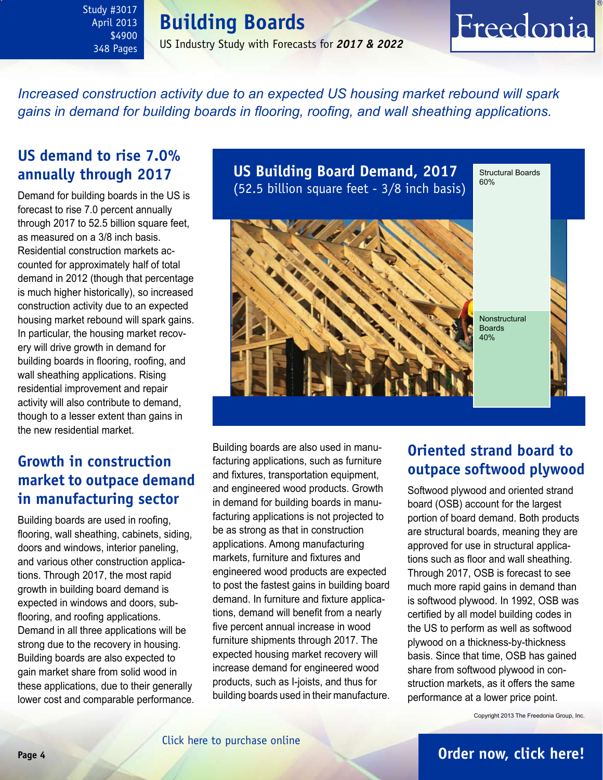## **Building Boards**

\$4900 348 Pages US Industry Study with Forecasts for *2017 & 2022*

# Freedonia

*Increased construction activity due to an expected US housing market rebound will spark gains in demand for building boards in flooring, roofing, and wall sheathing applications.* 

## **US demand to rise 7.0% annually through 2017**

<span id="page-3-0"></span>Study #3017 April 2013

Demand for building boards in the US is forecast to rise 7.0 percent annually through 2017 to 52.5 billion square feet, as measured on a 3/8 inch basis. Residential construction markets accounted for approximately half of total demand in 2012 (though that percentage is much higher historically), so increased construction activity due to an expected housing market rebound will spark gains. In particular, the housing market recovery will drive growth in demand for building boards in flooring, roofing, and wall sheathing applications. Rising residential improvement and repair activity will also contribute to demand, though to a lesser extent than gains in the new residential market.

## **Growth in construction market to outpace demand in manufacturing sector**

Building boards are used in roofing, flooring, wall sheathing, cabinets, siding, doors and windows, interior paneling, and various other construction applications. Through 2017, the most rapid growth in building board demand is expected in windows and doors, subflooring, and roofing applications. Demand in all three applications will be strong due to the recovery in housing. Building boards are also expected to gain market share from solid wood in these applications, due to their generally lower cost and comparable performance. **US Building Board Demand, 2017** (52.5 billion square feet - 3/8 inch basis) Structural Boards 60%



Building boards are also used in manufacturing applications, such as furniture and fixtures, transportation equipment, and engineered wood products. Growth in demand for building boards in manufacturing applications is not projected to be as strong as that in construction applications. Among manufacturing markets, furniture and fixtures and engineered wood products are expected to post the fastest gains in building board demand. In furniture and fixture applications, demand will benefit from a nearly five percent annual increase in wood furniture shipments through 2017. The expected housing market recovery will increase demand for engineered wood products, such as I-joists, and thus for building boards used in their manufacture.

## **Oriented strand board to outpace softwood plywood**

Softwood plywood and oriented strand board (OSB) account for the largest portion of board demand. Both products are structural boards, meaning they are approved for use in structural applications such as floor and wall sheathing. Through 2017, OSB is forecast to see much more rapid gains in demand than is softwood plywood. In 1992, OSB was certified by all model building codes in the US to perform as well as softwood plywood on a thickness-by-thickness basis. Since that time, OSB has gained share from softwood plywood in construction markets, as it offers the same performance at a lower price point.

Copyright 2013 The Freedonia Group, Inc.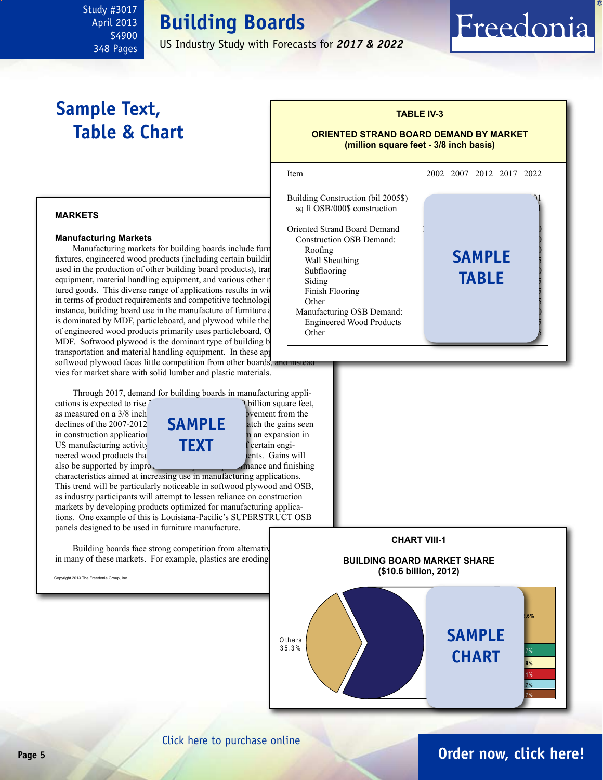## **Building Boards**

US Industry Study with Forecasts for *2017 & 2022*

## **Sample Text, Table & Chart**

<span id="page-4-0"></span>Study #3017 April 2013 \$4900 348 Pages

## **TABLE IV-3**

Freedonia

#### **ORIENTED STRAND BOARD DEMAND BY MARKET (million square feet - 3/8 inch basis)**

#### **markets**

#### **Manufacturing Markets**

Manufacturing markets for building boards include furn**iture and the Solution Roofing** fixtures, engineered wood products (including certain building used in the production of other building board products), tran equipment, material handling equipment, and various other r tured goods. This diverse range of applications results in wide in terms of product requirements and competitive technologi instance, building board use in the manufacture of furniture is dominated by MDF, particleboard, and plywood while the of engineered wood products primarily uses particleboard, O MDF. Softwood plywood is the dominant type of building board used in the solution of building in MDF. transportation and material handling equipment. In these app softwood plywood faces little competition from other boards, vies for market share with solid lumber and plastic materials.

Through 2017, demand for building boards in manufacturing appli-

cations is expected to rise  $\hat{3}$ .  $\hat{1}$  billion square feet, as measured on a  $3/8$  inch based based based based based based based based based based based based based based based based based based based based based based based based based based based based based based based based b declines of the  $2007-2012$ in construction application  $\overline{\mathbf{p}}$  from an expansion in US manufacturing activity  $T$   $\Gamma$   $\Gamma$   $\Gamma$  f certain engineered wood products that **use building board components** be supported by improved by  $\frac{1}{2}$  mance and finishing also be supported by improduct performance and  $\frac{1}{2}$ 



characteristics aimed at increasing use in manufacturing applications. This trend will be particularly noticeable in softwood plywood and OSB, as industry participants will attempt to lessen reliance on construction markets by developing products optimized for manufacturing applications. One example of this is Louisiana-Pacific's SUPERSTRUCT OSB panels designed to be used in furniture manufacture.

Building boards face strong competition from alternative in many of these markets. For example, plastics are eroding

Copyright 2013 The Freedonia Group, Inc.





## **Page 5 [Order now, click here!](#page-6-0)**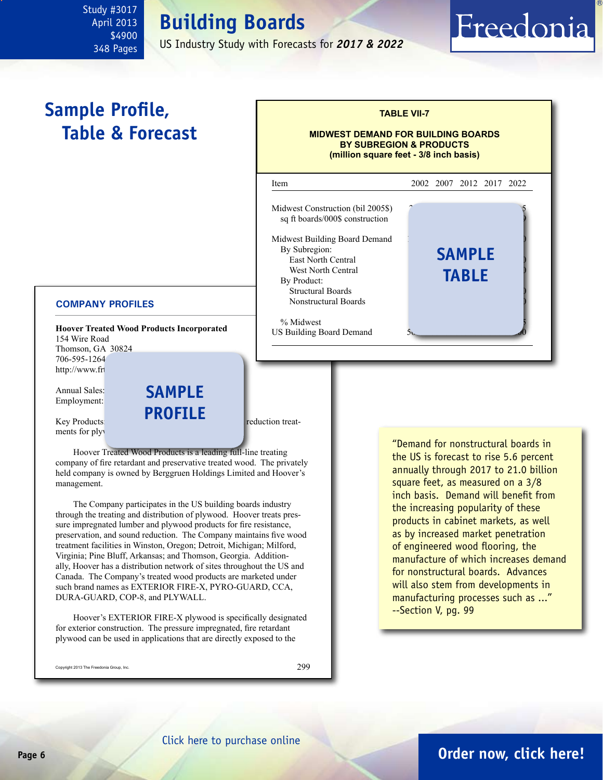## **Building Boards**

US Industry Study with Forecasts for *2017 & 2022*

## **Sample Profile, Table & Forecast**

<span id="page-5-0"></span>Study #3017 April 2013 \$4900 348 Pages

#### **COMPANY PROFILES**

**Hoover Treated Wood Products Incorporated** 154 Wire Road Thomson, GA 30824 706-595-1264 http://www.frt

Annual Sales: **\$100 SAMPL** Employment:

Key Products: **first reduction treat**ments for ply

Hoover Treated Wood Products is a leading full-line treating company of fire retardant and preservative treated wood. The privately held company is owned by Berggruen Holdings Limited and Hoover's management.

**profile**

The Company participates in the US building boards industry through the treating and distribution of plywood. Hoover treats pressure impregnated lumber and plywood products for fire resistance, preservation, and sound reduction. The Company maintains five wood treatment facilities in Winston, Oregon; Detroit, Michigan; Milford, Virginia; Pine Bluff, Arkansas; and Thomson, Georgia. Additionally, Hoover has a distribution network of sites throughout the US and Canada. The Company's treated wood products are marketed under such brand names as EXTERIOR FIRE-X, PYRO-GUARD, CCA, DURA-GUARD, COP-8, and PLYWALL.

Hoover's EXTERIOR FIRE-X plywood is specifically designated for exterior construction. The pressure impregnated, fire retardant plywood can be used in applications that are directly exposed to the

Copyright 2013 The Freedonia Group, Inc.

299



**TABLE VII-7**

Freedonia

"Demand for nonstructural boards in the US is forecast to rise 5.6 percent annually through 2017 to 21.0 billion square feet, as measured on a 3/8 inch basis. Demand will benefit from the increasing popularity of these products in cabinet markets, as well as by increased market penetration of engineered wood flooring, the manufacture of which increases demand for nonstructural boards. Advances will also stem from developments in manufacturing processes such as ..." --Section V, pg. 99

## **Page 6 [Order now, click here!](#page-6-0)**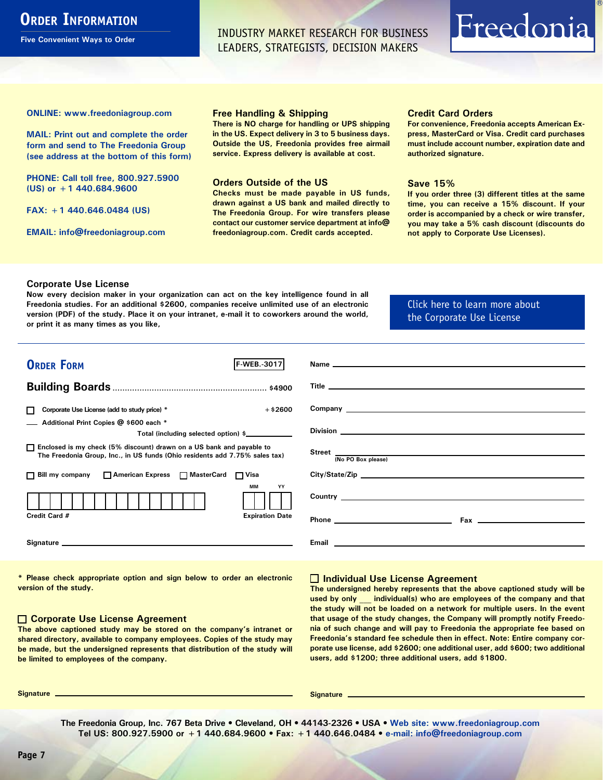## <span id="page-6-0"></span>**ORDER INFORMATION**

**Five Convenient Ways to Order**

INDUSTRY MARKET RESEARCH FOR BUSINESS LEADERS, STRATEGISTS, DECISION MAKERS

# Freedonia

**ONLINE: [www.freedoniagroup.com](http://www.freedoniagroup.com/DocumentDetails.aspx?Referrerid=FM-Bro&StudyID=3017)**

**MAIL: Print out and complete the order form and send to The Freedonia Group (see address at the bottom of this form)**

**PHONE: Call toll free, 800.927.5900 (US) or +1 440.684.9600**

**FAX: +1 440.646.0484 (US)**

**EMAIL: [info@freedoniagroup.com](mailto:info@freedoniagroup.com)**

#### **Free Handling & Shipping**

**There is NO charge for handling or UPS shipping in the US. Expect delivery in 3 to 5 business days. Outside the US, Freedonia provides free airmail service. Express delivery is available at cost.**

#### **Orders Outside of the US**

**Checks must be made payable in US funds, drawn against a US bank and mailed directly to The Freedonia Group. For wire transfers please contact our customer service department at info@ freedoniagroup.com. Credit cards accepted.**

#### **Credit Card Orders**

**For convenience, Freedonia accepts American Express, MasterCard or Visa. Credit card purchases must include account number, expiration date and authorized signature.**

#### **Save 15%**

**If you order three (3) different titles at the same time, you can receive a 15% discount. If your order is accompanied by a check or wire transfer, you may take a 5% cash discount (discounts do not apply to Corporate Use Licenses).**

#### **Corporate Use License**

**Now every decision maker in your organization can act on the key intelligence found in all Freedonia studies. For an additional \$2600, companies receive unlimited use of an electronic version (PDF) of the study. Place it on your intranet, e-mail it to coworkers around the world, or print it as many times as you like,** 

### [Click here to learn more about](http://www.freedoniagroup.com/pdf/FreedoniaCULBro.pdf)  [the Corporate Use License](http://www.freedoniagroup.com/pdf/FreedoniaCULBro.pdf)

| <b>ORDER FORM</b><br>IF WEB. 3017                                                                                                                                                                                              |                                       |
|--------------------------------------------------------------------------------------------------------------------------------------------------------------------------------------------------------------------------------|---------------------------------------|
|                                                                                                                                                                                                                                |                                       |
|                                                                                                                                                                                                                                |                                       |
|                                                                                                                                                                                                                                |                                       |
| $+$ \$2600<br>Corporate Use License (add to study price) *                                                                                                                                                                     |                                       |
| Additional Print Copies @ \$600 each *                                                                                                                                                                                         |                                       |
| Total (including selected option) \$____________                                                                                                                                                                               |                                       |
| □ Enclosed is my check (5% discount) drawn on a US bank and payable to<br>The Freedonia Group, Inc., in US funds (Ohio residents add 7.75% sales tax)                                                                          | Street $\frac{1}{(No PO Box please)}$ |
|                                                                                                                                                                                                                                |                                       |
| □ Bill my company □ American Express □ MasterCard □ Visa                                                                                                                                                                       |                                       |
| <b>MM</b><br>YY                                                                                                                                                                                                                |                                       |
|                                                                                                                                                                                                                                |                                       |
| Credit Card #<br><b>Expiration Date</b>                                                                                                                                                                                        |                                       |
|                                                                                                                                                                                                                                |                                       |
| Signature experience and the state of the state of the state of the state of the state of the state of the state of the state of the state of the state of the state of the state of the state of the state of the state of th |                                       |
|                                                                                                                                                                                                                                |                                       |

**\* Please check appropriate option and sign below to order an electronic version of the study.**

#### **Corporate Use License Agreement**

**The above captioned study may be stored on the company's intranet or shared directory, available to company employees. Copies of the study may be made, but the undersigned represents that distribution of the study will be limited to employees of the company.**

#### **Individual Use License Agreement**

**The undersigned hereby represents that the above captioned study will be used by only \_\_\_ individual(s) who are employees of the company and that the study will not be loaded on a network for multiple users. In the event that usage of the study changes, the Company will promptly notify Freedonia of such change and will pay to Freedonia the appropriate fee based on Freedonia's standard fee schedule then in effect. Note: Entire company corporate use license, add \$2600; one additional user, add \$600; two additional users, add \$1200; three additional users, add \$1800.**

**Signature Signature**

**The Freedonia Group, Inc. 767 Beta Drive • Cleveland, OH • 44143-2326 • USA • [Web site: www.freedoniagroup.com](http://www.freedoniagroup.com/Home.aspx?ReferrerId=FM-Bro) Tel US: 800.927.5900 or +1 440.684.9600 • Fax: +1 440.646.0484 • [e-mail: info@freedoniagroup.com](mailto:info@freedoniagroup.com)**